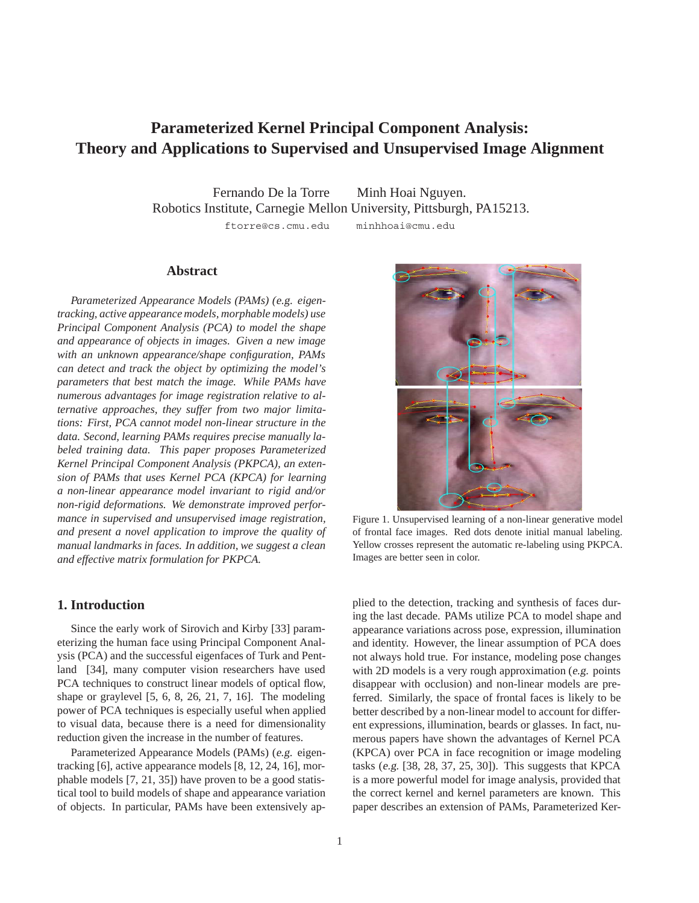# **Parameterized Kernel Principal Component Analysis: Theory and Applications to Supervised and Unsupervised Image Alignment**

Fernando De la Torre Minh Hoai Nguyen. Robotics Institute, Carnegie Mellon University, Pittsburgh, PA15213. ftorre@cs.cmu.edu minhhoai@cmu.edu

## **Abstract**

*Parameterized Appearance Models (PAMs) (*e.g. *eigentracking, active appearance models, morphable models) use Principal Component Analysis (PCA) to model the shape and appearance of objects in images. Given a new image with an unknown appearance/shape configuration, PAMs can detect and track the object by optimizing the model's parameters that best match the image. While PAMs have numerous advantages for image registration relative to alternative approaches, they suffer from two major limitations: First, PCA cannot model non-linear structure in the data. Second, learning PAMs requires precise manually labeled training data. This paper proposes Parameterized Kernel Principal Component Analysis (PKPCA), an extension of PAMs that uses Kernel PCA (KPCA) for learning a non-linear appearance model invariant to rigid and/or non-rigid deformations. We demonstrate improved performance in supervised and unsupervised image registration, and present a novel application to improve the quality of manual landmarks in faces. In addition, we suggest a clean and effective matrix formulation for PKPCA.*

# **1. Introduction**

Since the early work of Sirovich and Kirby [33] parameterizing the human face using Principal Component Analysis (PCA) and the successful eigenfaces of Turk and Pentland [34], many computer vision researchers have used PCA techniques to construct linear models of optical flow, shape or graylevel [5, 6, 8, 26, 21, 7, 16]. The modeling power of PCA techniques is especially useful when applied to visual data, because there is a need for dimensionality reduction given the increase in the number of features.

Parameterized Appearance Models (PAMs) (e.g. eigentracking [6], active appearance models [8, 12, 24, 16], morphable models [7, 21, 35]) have proven to be a good statistical tool to build models of shape and appearance variation of objects. In particular, PAMs have been extensively ap-



Figure 1. Unsupervised learning of a non-linear generative model of frontal face images. Red dots denote initial manual labeling. Yellow crosses represent the automatic re-labeling using PKPCA. Images are better seen in color.

plied to the detection, tracking and synthesis of faces during the last decade. PAMs utilize PCA to model shape and appearance variations across pose, expression, illumination and identity. However, the linear assumption of PCA does not always hold true. For instance, modeling pose changes with 2D models is a very rough approximation (e.g. points) disappear with occlusion) and non-linear models are preferred. Similarly, the space of frontal faces is likely to be better described by a non-linear model to account for different expressions, illumination, beards or glasses. In fact, numerous papers have shown the advantages of Kernel PCA (KPCA) over PCA in face recognition or image modeling tasks (e.g. [38, 28, 37, 25, 30]). This suggests that KPCA is a more powerful model for image analysis, provided that the correct kernel and kernel parameters are known. This paper describes an extension of PAMs, Parameterized Ker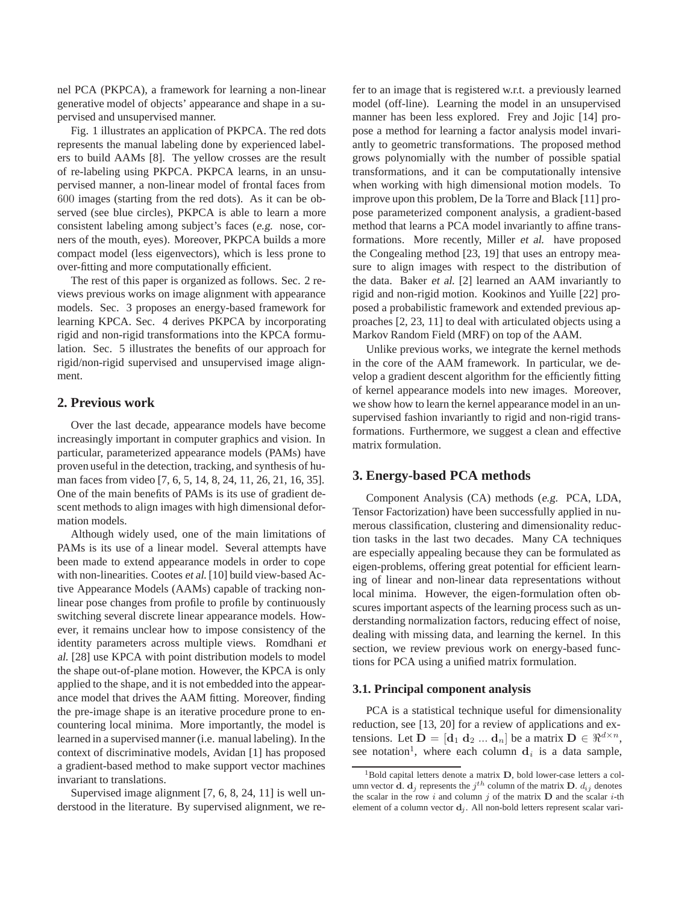nel PCA (PKPCA), a framework for learning a non-linear generative model of objects' appearance and shape in a supervised and unsupervised manner.

Fig. 1 illustrates an application of PKPCA. The red dots represents the manual labeling done by experienced labelers to build AAMs [8]. The yellow crosses are the result of re-labeling using PKPCA. PKPCA learns, in an unsupervised manner, a non-linear model of frontal faces from 600 images (starting from the red dots). As it can be observed (see blue circles), PKPCA is able to learn a more consistent labeling among subject's faces (e.g. nose, corners of the mouth, eyes). Moreover, PKPCA builds a more compact model (less eigenvectors), which is less prone to over-fitting and more computationally efficient.

The rest of this paper is organized as follows. Sec. 2 reviews previous works on image alignment with appearance models. Sec. 3 proposes an energy-based framework for learning KPCA. Sec. 4 derives PKPCA by incorporating rigid and non-rigid transformations into the KPCA formulation. Sec. 5 illustrates the benefits of our approach for rigid/non-rigid supervised and unsupervised image alignment.

# **2. Previous work**

Over the last decade, appearance models have become increasingly important in computer graphics and vision. In particular, parameterized appearance models (PAMs) have proven useful in the detection, tracking, and synthesis of human faces from video [7, 6, 5, 14, 8, 24, 11, 26, 21, 16, 35]. One of the main benefits of PAMs is its use of gradient descent methods to align images with high dimensional deformation models.

Although widely used, one of the main limitations of PAMs is its use of a linear model. Several attempts have been made to extend appearance models in order to cope with non-linearities. Cootes et al. [10] build view-based Active Appearance Models (AAMs) capable of tracking nonlinear pose changes from profile to profile by continuously switching several discrete linear appearance models. However, it remains unclear how to impose consistency of the identity parameters across multiple views. Romdhani et al. [28] use KPCA with point distribution models to model the shape out-of-plane motion. However, the KPCA is only applied to the shape, and it is not embedded into the appearance model that drives the AAM fitting. Moreover, finding the pre-image shape is an iterative procedure prone to encountering local minima. More importantly, the model is learned in a supervised manner (i.e. manual labeling). In the context of discriminative models, Avidan [1] has proposed a gradient-based method to make support vector machines invariant to translations.

Supervised image alignment [7, 6, 8, 24, 11] is well understood in the literature. By supervised alignment, we refer to an image that is registered w.r.t. a previously learned model (off-line). Learning the model in an unsupervised manner has been less explored. Frey and Jojic [14] propose a method for learning a factor analysis model invariantly to geometric transformations. The proposed method grows polynomially with the number of possible spatial transformations, and it can be computationally intensive when working with high dimensional motion models. To improve upon this problem, De la Torre and Black [11] propose parameterized component analysis, a gradient-based method that learns a PCA model invariantly to affine transformations. More recently, Miller et al. have proposed the Congealing method [23, 19] that uses an entropy measure to align images with respect to the distribution of the data. Baker et al. [2] learned an AAM invariantly to rigid and non-rigid motion. Kookinos and Yuille [22] proposed a probabilistic framework and extended previous approaches [2, 23, 11] to deal with articulated objects using a Markov Random Field (MRF) on top of the AAM.

Unlike previous works, we integrate the kernel methods in the core of the AAM framework. In particular, we develop a gradient descent algorithm for the efficiently fitting of kernel appearance models into new images. Moreover, we show how to learn the kernel appearance model in an unsupervised fashion invariantly to rigid and non-rigid transformations. Furthermore, we suggest a clean and effective matrix formulation.

## **3. Energy-based PCA methods**

Component Analysis (CA) methods (e.g. PCA, LDA, Tensor Factorization) have been successfully applied in numerous classification, clustering and dimensionality reduction tasks in the last two decades. Many CA techniques are especially appealing because they can be formulated as eigen-problems, offering great potential for efficient learning of linear and non-linear data representations without local minima. However, the eigen-formulation often obscures important aspects of the learning process such as understanding normalization factors, reducing effect of noise, dealing with missing data, and learning the kernel. In this section, we review previous work on energy-based functions for PCA using a unified matrix formulation.

# **3.1. Principal component analysis**

PCA is a statistical technique useful for dimensionality reduction, see [13, 20] for a review of applications and extensions. Let  $D = [\mathbf{d}_1 \ \mathbf{d}_2 \ ... \ \mathbf{d}_n]$  be a matrix  $D \in \mathbb{R}^{d \times n}$ , see notation<sup>1</sup>, where each column  $\mathbf{d}_i$  is a data sample,

<sup>&</sup>lt;sup>1</sup>Bold capital letters denote a matrix **D**, bold lower-case letters a column vector **d**. **d**<sub>j</sub> represents the  $j<sup>th</sup>$  column of the matrix **D**.  $d_{ij}$  denotes the scalar in the row  $i$  and column  $j$  of the matrix  $D$  and the scalar  $i$ -th element of a column vector  $\mathbf{d}_i$ . All non-bold letters represent scalar vari-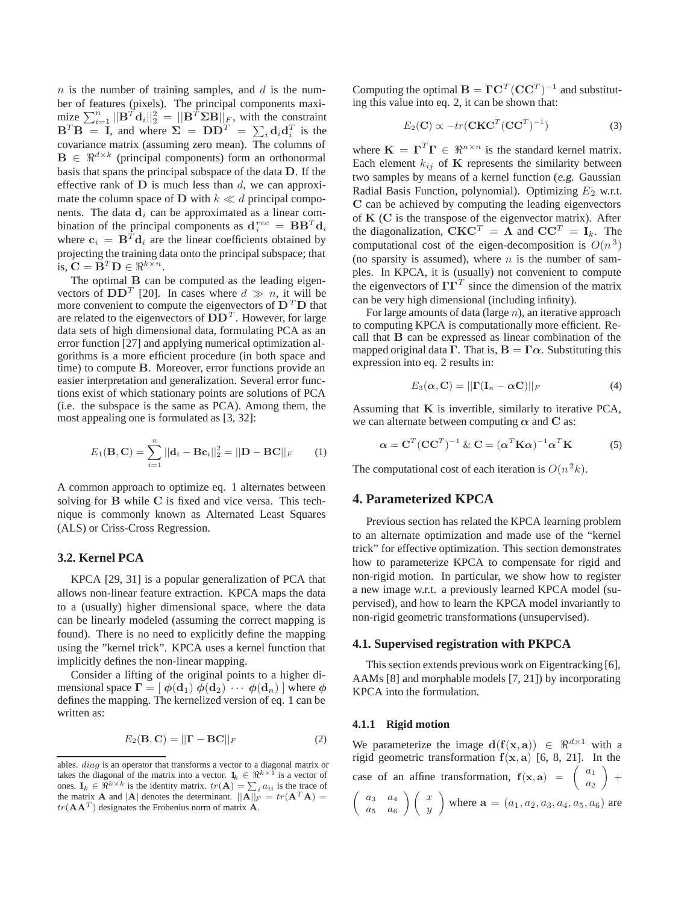*n* is the number of training samples, and *d* is the number of features (pixels). The principal components maxi- $\lim_{n \to \infty} \sum_{i=1}^{n} ||\mathbf{B}^{T} \mathbf{d}_{i}||_{2}^{2} = ||\mathbf{B}^{T} \Sigma \mathbf{B}||_{F}$ , with the constraint  $\mathbf{B}^T \mathbf{B} = \mathbf{I}$ , and where  $\Sigma = \mathbf{D} \mathbf{D}^T = \sum_i \mathbf{d}_i \mathbf{d}_i^T$  is the covariance matrix (assuming zero mean). The columns of  $\mathbf{B} \in \mathbb{R}^{d \times k}$  (principal components) form an orthonormal basis that spans the principal subspace of the data **D**. If the effective rank of **D** is much less than *d*, we can approximate the column space of **D** with  $k \ll d$  principal components. The data  $\mathbf{d}_i$  can be approximated as a linear combination of the principal components as  $\mathbf{d}_i^{rec} = \mathbf{B} \mathbf{B}^T \mathbf{d}_i$ where  $\mathbf{c}_i = \mathbf{B}^T \mathbf{d}_i$  are the linear coefficients obtained by projecting the training data onto the principal subspace; that is,  $\mathbf{C} = \mathbf{B}^T \mathbf{D} \in \mathbb{R}^{k \times n}$ .

The optimal **B** can be computed as the leading eigenvectors of  $DD<sup>T</sup>$  [20]. In cases where  $d \gg n$ , it will be more convenient to compute the eigenvectors of  $\mathbf{D}^T \mathbf{D}$  that are related to the eigenvectors of  $DD<sup>T</sup>$ . However, for large data sets of high dimensional data, formulating PCA as an error function [27] and applying numerical optimization algorithms is a more efficient procedure (in both space and time) to compute **B**. Moreover, error functions provide an easier interpretation and generalization. Several error functions exist of which stationary points are solutions of PCA (i.e. the subspace is the same as PCA). Among them, the most appealing one is formulated as [3, 32]:

$$
E_1(B, C) = \sum_{i=1}^{n} ||\mathbf{d}_i - \mathbf{B} \mathbf{c}_i||_2^2 = ||\mathbf{D} - \mathbf{B} C||_F \qquad (1)
$$

A common approach to optimize eq. 1 alternates between solving for **B** while **C** is fixed and vice versa. This technique is commonly known as Alternated Least Squares (ALS) or Criss-Cross Regression.

## **3.2. Kernel PCA**

KPCA [29, 31] is a popular generalization of PCA that allows non-linear feature extraction. KPCA maps the data to a (usually) higher dimensional space, where the data can be linearly modeled (assuming the correct mapping is found). There is no need to explicitly define the mapping using the "kernel trick". KPCA uses a kernel function that implicitly defines the non-linear mapping.

Consider a lifting of the original points to a higher dimensional space  $\mathbf{\Gamma} = [\phi(\mathbf{d}_1) \phi(\mathbf{d}_2) \cdots \phi(\mathbf{d}_n)]$  where  $\phi$ defines the mapping. The kernelized version of eq. 1 can be written as:

$$
E_2(\mathbf{B}, \mathbf{C}) = ||\mathbf{\Gamma} - \mathbf{B}\mathbf{C}||_F
$$
 (2)

Computing the optimal  $\mathbf{B} = \mathbf{\Gamma} \mathbf{C}^T (\mathbf{C} \mathbf{C}^T)^{-1}$  and substituting this value into eq. 2, it can be shown that:

$$
E_2(\mathbf{C}) \propto -tr(\mathbf{CKC}^T(\mathbf{CC}^T)^{-1})
$$
 (3)

where  $\mathbf{K} = \mathbf{\Gamma}^T \mathbf{\Gamma} \in \mathbb{R}^{n \times n}$  is the standard kernel matrix. Each element  $k_{ij}$  of **K** represents the similarity between two samples by means of a kernel function (e.g. Gaussian Radial Basis Function, polynomial). Optimizing  $E_2$  w.r.t. **C** can be achieved by computing the leading eigenvectors of **K** (**C** is the transpose of the eigenvector matrix). After the diagonalization,  $\mathbf{C}\mathbf{K}\mathbf{C}^T = \mathbf{\Lambda}$  and  $\mathbf{C}\mathbf{C}^T = \mathbf{I}_k$ . The computational cost of the eigen-decomposition is  $O(n^3)$ (no sparsity is assumed), where  $n$  is the number of samples. In KPCA, it is (usually) not convenient to compute the eigenvectors of  $\Gamma\Gamma^T$  since the dimension of the matrix can be very high dimensional (including infinity).

For large amounts of data (large *n*), an iterative approach to computing KPCA is computationally more efficient. Recall that **B** can be expressed as linear combination of the mapped original data **Γ**. That is,  $\mathbf{B} = \mathbf{\Gamma}\alpha$ . Substituting this expression into eq. 2 results in:

$$
E_3(\alpha, \mathbf{C}) = ||\mathbf{\Gamma}(\mathbf{I}_n - \alpha \mathbf{C})||_F
$$
 (4)

Assuming that **K** is invertible, similarly to iterative PCA, we can alternate between computing  $\alpha$  and C as:

$$
\alpha = \mathbf{C}^T (\mathbf{C}\mathbf{C}^T)^{-1} \& \mathbf{C} = (\alpha^T \mathbf{K}\alpha)^{-1} \alpha^T \mathbf{K}
$$
 (5)

The computational cost of each iteration is  $O(n^2k)$ .

## **4. Parameterized KPCA**

Previous section has related the KPCA learning problem to an alternate optimization and made use of the "kernel trick" for effective optimization. This section demonstrates how to parameterize KPCA to compensate for rigid and non-rigid motion. In particular, we show how to register a new image w.r.t. a previously learned KPCA model (supervised), and how to learn the KPCA model invariantly to non-rigid geometric transformations (unsupervised).

#### **4.1. Supervised registration with PKPCA**

This section extends previous work on Eigentracking [6], AAMs [8] and morphable models [7, 21]) by incorporating KPCA into the formulation.

#### **4.1.1 Rigid motion**

We parameterize the image  $d(f(x, a)) \in \mathbb{R}^{d \times 1}$  with a rigid geometric transformation  $f(x, a)$  [6, 8, 21]. In the case of an affine transformation,  $f(x, a) = \begin{pmatrix} a_1 \\ a_2 \end{pmatrix}$  $+$  $\int_{a_3}^{b_4} a_4$  $a_5 \quad a_6$  $\bigwedge x$  $\hat{y}$ where  $\mathbf{a} = (a_1, a_2, a_3, a_4, a_5, a_6)$  are

ables. *diag* is an operator that transforms a vector to a diagonal matrix or takes the diagonal of the matrix into a vector.  $\mathbf{1}_k \in \mathbb{R}^{k \times 1}$  is a vector of ones.  $\mathbf{I}_k \in \mathbb{R}^{k \times k}$  is the identity matrix.  $tr(\mathbf{A}) = \sum_i a_{ii}$  is the trace of the matrix **A** and  $|\mathbf{A}|$  denotes the determinant.  $||\mathbf{A}||_F = tr(\mathbf{A}^T \mathbf{A}) =$  $tr(AA^T)$  designates the Frobenius norm of matrix  $\overrightarrow{A}$ .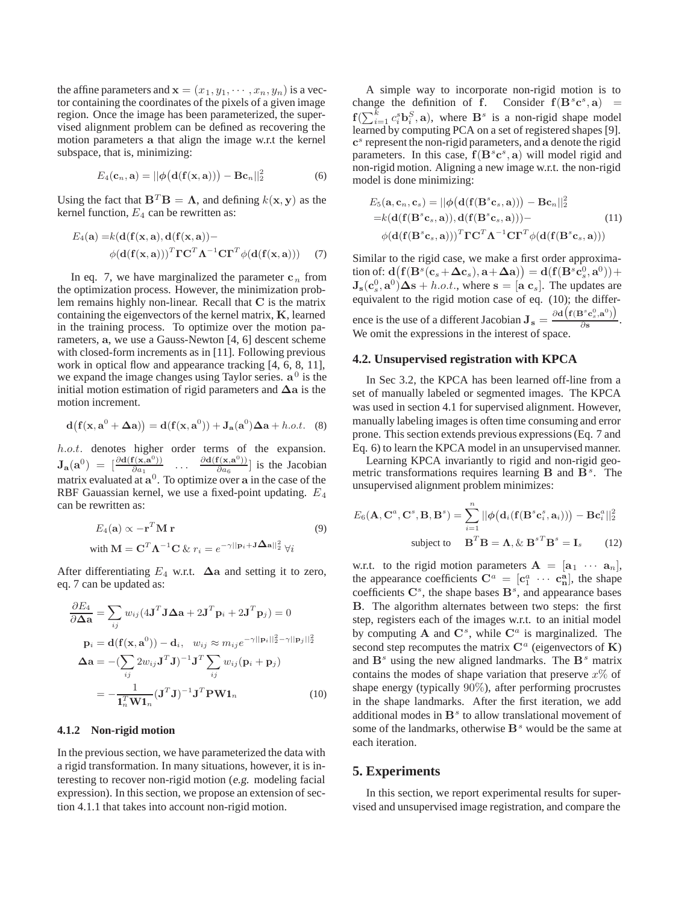the affine parameters and  $\mathbf{x} = (x_1, y_1, \dots, x_n, y_n)$  is a vector containing the coordinates of the pixels of a given image region. Once the image has been parameterized, the supervised alignment problem can be defined as recovering the motion parameters **a** that align the image w.r.t the kernel subspace, that is, minimizing:

$$
E_4(\mathbf{c}_n, \mathbf{a}) = ||\phi\big(\mathbf{d}(\mathbf{f}(\mathbf{x}, \mathbf{a}))\big) - \mathbf{B}\mathbf{c}_n||_2^2 \tag{6}
$$

Using the fact that  $\mathbf{B}^T \mathbf{B} = \mathbf{\Lambda}$ , and defining  $k(\mathbf{x}, \mathbf{y})$  as the kernel function,  $E_4$  can be rewritten as:

$$
E_4(\mathbf{a}) = k(\mathbf{d}(\mathbf{f}(\mathbf{x}, \mathbf{a}), \mathbf{d}(\mathbf{f}(\mathbf{x}, \mathbf{a})) - \phi(\mathbf{d}(\mathbf{f}(\mathbf{x}, \mathbf{a})))^T \mathbf{\Gamma} \mathbf{C}^T \mathbf{\Lambda}^{-1} \mathbf{C} \mathbf{\Gamma}^T \phi(\mathbf{d}(\mathbf{f}(\mathbf{x}, \mathbf{a})))
$$
(7)

In eq. 7, we have marginalized the parameter  $c_n$  from the optimization process. However, the minimization problem remains highly non-linear. Recall that **C** is the matrix containing the eigenvectors of the kernel matrix, **K**, learned in the training process. To optimize over the motion parameters, **a**, we use a Gauss-Newton [4, 6] descent scheme with closed-form increments as in [11]. Following previous work in optical flow and appearance tracking [4, 6, 8, 11], we expand the image changes using Taylor series. **a**<sup>0</sup> is the initial motion estimation of rigid parameters and **Δa** is the motion increment.

$$
\mathbf{d}(\mathbf{f}(\mathbf{x}, \mathbf{a}^0 + \Delta \mathbf{a})) = \mathbf{d}(\mathbf{f}(\mathbf{x}, \mathbf{a}^0)) + \mathbf{J}_\mathbf{a}(\mathbf{a}^0) \Delta \mathbf{a} + h.o.t. \quad (8)
$$

*h.o.t.* denotes higher order terms of the expansion.  $J_{\bf{a}}({\bf{a}}^{0}) = \begin{bmatrix} \frac{\partial d({\bf{f}}({\bf{x}},{\bf{a}}^{0}))}{\partial a_{1}} & \cdots & \frac{\partial d({\bf{f}}({\bf{x}},{\bf{a}}^{0}))}{\partial a_{6}} \end{bmatrix}$  is the Jacobian matrix evaluated at **a**<sup>0</sup>. To optimize over **a** in the case of the RBF Gauassian kernel, we use a fixed-point updating. *E*<sup>4</sup> can be rewritten as:

$$
E_4(\mathbf{a}) \propto -\mathbf{r}^T \mathbf{M} \mathbf{r}
$$
  
with  $\mathbf{M} = \mathbf{C}^T \mathbf{\Lambda}^{-1} \mathbf{C} \& r_i = e^{-\gamma ||\mathbf{p}_i + \mathbf{J} \mathbf{\Delta} \mathbf{a}||_2^2} \forall i$  (9)

After differentiating  $E_4$  w.r.t.  $\Delta a$  and setting it to zero, eq. 7 can be updated as:

$$
\frac{\partial E_4}{\partial \Delta \mathbf{a}} = \sum_{ij} w_{ij} (4\mathbf{J}^T \mathbf{J} \Delta \mathbf{a} + 2\mathbf{J}^T \mathbf{p}_i + 2\mathbf{J}^T \mathbf{p}_j) = 0
$$
  
\n
$$
\mathbf{p}_i = \mathbf{d}(\mathbf{f}(\mathbf{x}, \mathbf{a}^0)) - \mathbf{d}_i, \quad w_{ij} \approx m_{ij} e^{-\gamma ||\mathbf{p}_i||_2^2 - \gamma ||\mathbf{p}_j||_2^2}
$$
  
\n
$$
\Delta \mathbf{a} = -(\sum_{ij} 2w_{ij} \mathbf{J}^T \mathbf{J})^{-1} \mathbf{J}^T \sum_{ij} w_{ij} (\mathbf{p}_i + \mathbf{p}_j)
$$
  
\n
$$
= -\frac{1}{\mathbf{I}_n^T \mathbf{W} \mathbf{1}_n} (\mathbf{J}^T \mathbf{J})^{-1} \mathbf{J}^T \mathbf{P} \mathbf{W} \mathbf{1}_n
$$
 (10)

#### **4.1.2 Non-rigid motion**

In the previous section, we have parameterized the data with a rigid transformation. In many situations, however, it is interesting to recover non-rigid motion (e.g. modeling facial expression). In this section, we propose an extension of section 4.1.1 that takes into account non-rigid motion.

A simple way to incorporate non-rigid motion is to change the definition of **f**. Consider  $f(B^s c^s, a)$  =  $f(\sum_{i=1}^{k} c_i^s \mathbf{b}_i^S, \mathbf{a})$ , where  $\mathbf{B}^s$  is a non-rigid shape model learned by computing PCA on a set of registered shapes [9]. **c**<sup>s</sup> represent the non-rigid parameters, and **a** denote the rigid parameters. In this case,  $f(B^s c^s, a)$  will model rigid and non-rigid motion. Aligning a new image w.r.t. the non-rigid model is done minimizing:

$$
E_5(\mathbf{a}, \mathbf{c}_n, \mathbf{c}_s) = ||\phi(\mathbf{d}(\mathbf{f}(\mathbf{B}^s \mathbf{c}_s, \mathbf{a}))) - \mathbf{B}\mathbf{c}_n||_2^2
$$
  
=k( $\mathbf{d}(\mathbf{f}(\mathbf{B}^s \mathbf{c}_s, \mathbf{a}))$ ,  $\mathbf{d}(\mathbf{f}(\mathbf{B}^s \mathbf{c}_s, \mathbf{a}))$ ) – (11)  
 $\phi(\mathbf{d}(\mathbf{f}(\mathbf{B}^s \mathbf{c}_s, \mathbf{a})))^T \mathbf{TC}^T \mathbf{\Lambda}^{-1} \mathbf{C}\mathbf{\Gamma}^T \phi(\mathbf{d}(\mathbf{f}(\mathbf{B}^s \mathbf{c}_s, \mathbf{a})))$ 

Similar to the rigid case, we make a first order approxima- $\text{tion of: } \mathbf{d}\left(\mathbf{f}(\mathbf{B}^s(\mathbf{c}_s+\mathbf{\Delta c}_s),\mathbf{a}+\mathbf{\Delta a})\right) = \mathbf{d}(\mathbf{f}(\mathbf{B}^s\mathbf{c}_s^0,\mathbf{a}^0))+\mathbf{a}(\mathbf{f}(\mathbf{B}^s\mathbf{c}_s^0,\mathbf{a}^0)).$  $\mathbf{J}_s(\mathbf{c}_s^0, \mathbf{a}^0) \Delta s + h.o.t.,$  where  $\mathbf{s} = [\mathbf{a} \ \mathbf{c}_s]$ . The updates are equivalent to the rigid motion case of eq. (10); the difference is the use of a different Jacobian  $J_s = \frac{\partial d(f(B^s c_s^0, a^0))}{\partial s}$ . We omit the expressions in the interest of space.

## **4.2. Unsupervised registration with KPCA**

In Sec 3.2, the KPCA has been learned off-line from a set of manually labeled or segmented images. The KPCA was used in section 4.1 for supervised alignment. However, manually labeling images is often time consuming and error prone. This section extends previous expressions (Eq. 7 and Eq. 6) to learn the KPCA model in an unsupervised manner.

Learning KPCA invariantly to rigid and non-rigid geometric transformations requires learning  $\mathbf{B}$  and  $\mathbf{B}^s$ . The unsupervised alignment problem minimizes:

$$
E_6(\mathbf{A}, \mathbf{C}^a, \mathbf{C}^s, \mathbf{B}, \mathbf{B}^s) = \sum_{i=1}^n ||\phi(\mathbf{d}_i(\mathbf{f}(\mathbf{B}^s \mathbf{c}_i^s, \mathbf{a}_i))) - \mathbf{B} \mathbf{c}_i^a||_2^2
$$
  
subject to 
$$
\mathbf{B}^T \mathbf{B} = \mathbf{\Lambda}, \& \mathbf{B}^{sT} \mathbf{B}^s = \mathbf{I}_s
$$
 (12)

w.r.t. to the rigid motion parameters  $A = [\mathbf{a}_1 \cdots \mathbf{a}_n],$ the appearance coefficients  $\mathbf{C}^a = [\mathbf{c}_1^a \cdots \mathbf{c}_n^a]$ , the shape coefficients  $\mathbf{C}^s$ , the shape bases  $\mathbf{B}^s$ , and appearance bases **B**. The algorithm alternates between two steps: the first step, registers each of the images w.r.t. to an initial model by computing  $A$  and  $C^s$ , while  $C^a$  is marginalized. The second step recomputes the matrix  $\mathbf{C}^a$  (eigenvectors of **K**) and  $\mathbf{B}^s$  using the new aligned landmarks. The  $\mathbf{B}^s$  matrix contains the modes of shape variation that preserve *x*% of shape energy (typically 90%), after performing procrustes in the shape landmarks. After the first iteration, we add additional modes in  $\mathbf{B}^s$  to allow translational movement of some of the landmarks, otherwise  $B<sup>s</sup>$  would be the same at each iteration.

## **5. Experiments**

In this section, we report experimental results for supervised and unsupervised image registration, and compare the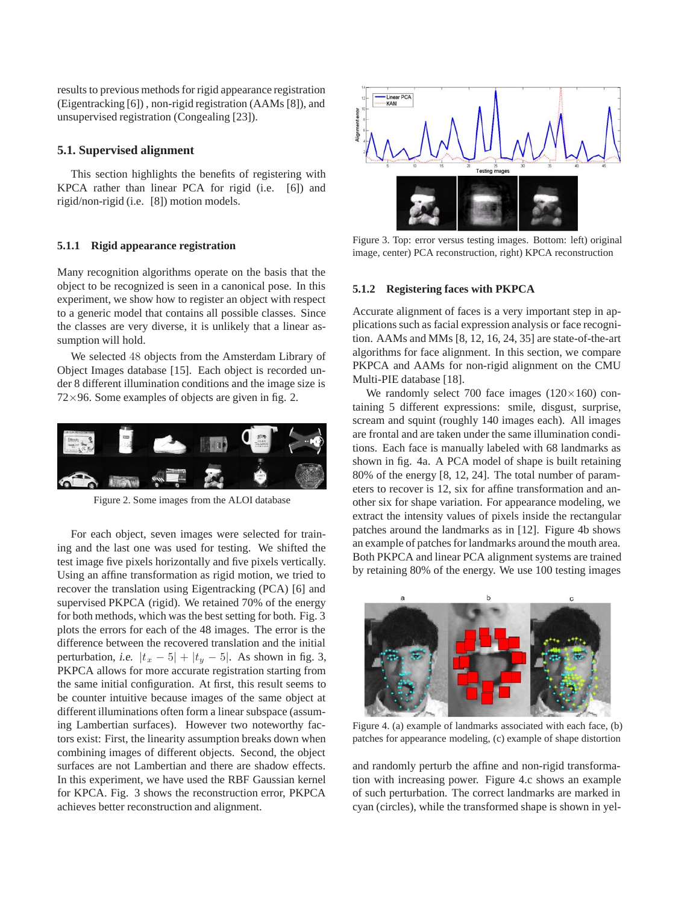results to previous methods for rigid appearance registration (Eigentracking [6]) , non-rigid registration (AAMs [8]), and unsupervised registration (Congealing [23]).

# **5.1. Supervised alignment**

This section highlights the benefits of registering with KPCA rather than linear PCA for rigid (i.e. [6]) and rigid/non-rigid (i.e. [8]) motion models.

#### **5.1.1 Rigid appearance registration**

Many recognition algorithms operate on the basis that the object to be recognized is seen in a canonical pose. In this experiment, we show how to register an object with respect to a generic model that contains all possible classes. Since the classes are very diverse, it is unlikely that a linear assumption will hold.

We selected 48 objects from the Amsterdam Library of Object Images database [15]. Each object is recorded under 8 different illumination conditions and the image size is  $72\times96$ . Some examples of objects are given in fig. 2.



Figure 2. Some images from the ALOI database

For each object, seven images were selected for training and the last one was used for testing. We shifted the test image five pixels horizontally and five pixels vertically. Using an affine transformation as rigid motion, we tried to recover the translation using Eigentracking (PCA) [6] and supervised PKPCA (rigid). We retained 70% of the energy for both methods, which was the best setting for both. Fig. 3 plots the errors for each of the 48 images. The error is the difference between the recovered translation and the initial perturbation, *i.e.*  $|t_x - 5| + |t_y - 5|$ . As shown in fig. 3, PKPCA allows for more accurate registration starting from the same initial configuration. At first, this result seems to be counter intuitive because images of the same object at different illuminations often form a linear subspace (assuming Lambertian surfaces). However two noteworthy factors exist: First, the linearity assumption breaks down when combining images of different objects. Second, the object surfaces are not Lambertian and there are shadow effects. In this experiment, we have used the RBF Gaussian kernel for KPCA. Fig. 3 shows the reconstruction error, PKPCA achieves better reconstruction and alignment.



Figure 3. Top: error versus testing images. Bottom: left) original image, center) PCA reconstruction, right) KPCA reconstruction

## **5.1.2 Registering faces with PKPCA**

Accurate alignment of faces is a very important step in applications such as facial expression analysis or face recognition. AAMs and MMs [8, 12, 16, 24, 35] are state-of-the-art algorithms for face alignment. In this section, we compare PKPCA and AAMs for non-rigid alignment on the CMU Multi-PIE database [18].

We randomly select 700 face images  $(120 \times 160)$  containing 5 different expressions: smile, disgust, surprise, scream and squint (roughly 140 images each). All images are frontal and are taken under the same illumination conditions. Each face is manually labeled with 68 landmarks as shown in fig. 4a. A PCA model of shape is built retaining 80% of the energy [8, 12, 24]. The total number of parameters to recover is 12, six for affine transformation and another six for shape variation. For appearance modeling, we extract the intensity values of pixels inside the rectangular patches around the landmarks as in [12]. Figure 4b shows an example of patches for landmarks around the mouth area. Both PKPCA and linear PCA alignment systems are trained by retaining 80% of the energy. We use 100 testing images



Figure 4. (a) example of landmarks associated with each face, (b) patches for appearance modeling, (c) example of shape distortion

and randomly perturb the affine and non-rigid transformation with increasing power. Figure 4.c shows an example of such perturbation. The correct landmarks are marked in cyan (circles), while the transformed shape is shown in yel-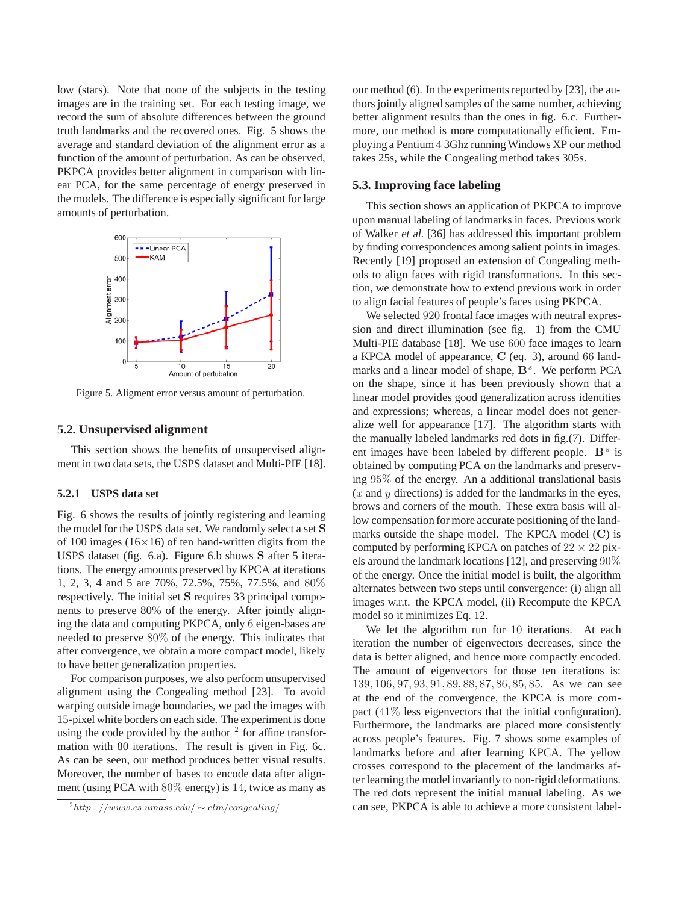low (stars). Note that none of the subjects in the testing images are in the training set. For each testing image, we record the sum of absolute differences between the ground truth landmarks and the recovered ones. Fig. 5 shows the average and standard deviation of the alignment error as a function of the amount of perturbation. As can be observed, PKPCA provides better alignment in comparison with linear PCA, for the same percentage of energy preserved in the models. The difference is especially significant for large amounts of perturbation.



Figure 5. Aligment error versus amount of perturbation.

#### **5.2. Unsupervised alignment**

This section shows the benefits of unsupervised alignment in two data sets, the USPS dataset and Multi-PIE [18].

## **5.2.1 USPS data set**

Fig. 6 shows the results of jointly registering and learning the model for the USPS data set. We randomly select a set **S** of 100 images ( $16\times16$ ) of ten hand-written digits from the USPS dataset (fig. 6.a). Figure 6.b shows **S** after 5 iterations. The energy amounts preserved by KPCA at iterations 1, 2, 3, 4 and 5 are 70%, 72.5%, 75%, 77.5%, and 80% respectively. The initial set **S** requires 33 principal components to preserve 80% of the energy. After jointly aligning the data and computing PKPCA, only 6 eigen-bases are needed to preserve 80% of the energy. This indicates that after convergence, we obtain a more compact model, likely to have better generalization properties.

For comparison purposes, we also perform unsupervised alignment using the Congealing method [23]. To avoid warping outside image boundaries, we pad the images with 15-pixel white borders on each side. The experiment is done using the code provided by the author  $2$  for affine transformation with 80 iterations. The result is given in Fig. 6c. As can be seen, our method produces better visual results. Moreover, the number of bases to encode data after alignment (using PCA with 80% energy) is 14, twice as many as our method (6). In the experiments reported by [23], the authors jointly aligned samples of the same number, achieving better alignment results than the ones in fig. 6.c. Furthermore, our method is more computationally efficient. Employing a Pentium 4 3Ghz runningWindows XP our method takes 25s, while the Congealing method takes 305s.

## **5.3. Improving face labeling**

This section shows an application of PKPCA to improve upon manual labeling of landmarks in faces. Previous work of Walker et al. [36] has addressed this important problem by finding correspondences among salient points in images. Recently [19] proposed an extension of Congealing methods to align faces with rigid transformations. In this section, we demonstrate how to extend previous work in order to align facial features of people's faces using PKPCA.

We selected  $920$  frontal face images with neutral expression and direct illumination (see fig. 1) from the CMU Multi-PIE database [18]. We use 600 face images to learn a KPCA model of appearance, **C** (eq. 3), around 66 landmarks and a linear model of shape,  $B<sup>s</sup>$ . We perform PCA on the shape, since it has been previously shown that a linear model provides good generalization across identities and expressions; whereas, a linear model does not generalize well for appearance [17]. The algorithm starts with the manually labeled landmarks red dots in fig.(7). Different images have been labeled by different people.  $\mathbf{B}^s$  is obtained by computing PCA on the landmarks and preserving 95% of the energy. An a additional translational basis (*x* and *y* directions) is added for the landmarks in the eyes, brows and corners of the mouth. These extra basis will allow compensation for more accurate positioning of the landmarks outside the shape model. The KPCA model (**C**) is computed by performing KPCA on patches of  $22 \times 22$  pixels around the landmark locations [12], and preserving 90% of the energy. Once the initial model is built, the algorithm alternates between two steps until convergence: (i) align all images w.r.t. the KPCA model, (ii) Recompute the KPCA model so it minimizes Eq. 12.

We let the algorithm run for 10 iterations. At each iteration the number of eigenvectors decreases, since the data is better aligned, and hence more compactly encoded. The amount of eigenvectors for those ten iterations is: 139*,* 106*,* 97*,* 93*,* 91*,* 89*,* 88*,* 87*,* 86*,* 85*,* 85. As we can see at the end of the convergence, the KPCA is more compact (41% less eigenvectors that the initial configuration). Furthermore, the landmarks are placed more consistently across people's features. Fig. 7 shows some examples of landmarks before and after learning KPCA. The yellow crosses correspond to the placement of the landmarks after learning the model invariantly to non-rigid deformations. The red dots represent the initial manual labeling. As we can see, PKPCA is able to achieve a more consistent label-

<sup>2</sup>*http* : *//www.cs.umass.edu/* <sup>∼</sup> *elm/congealing/*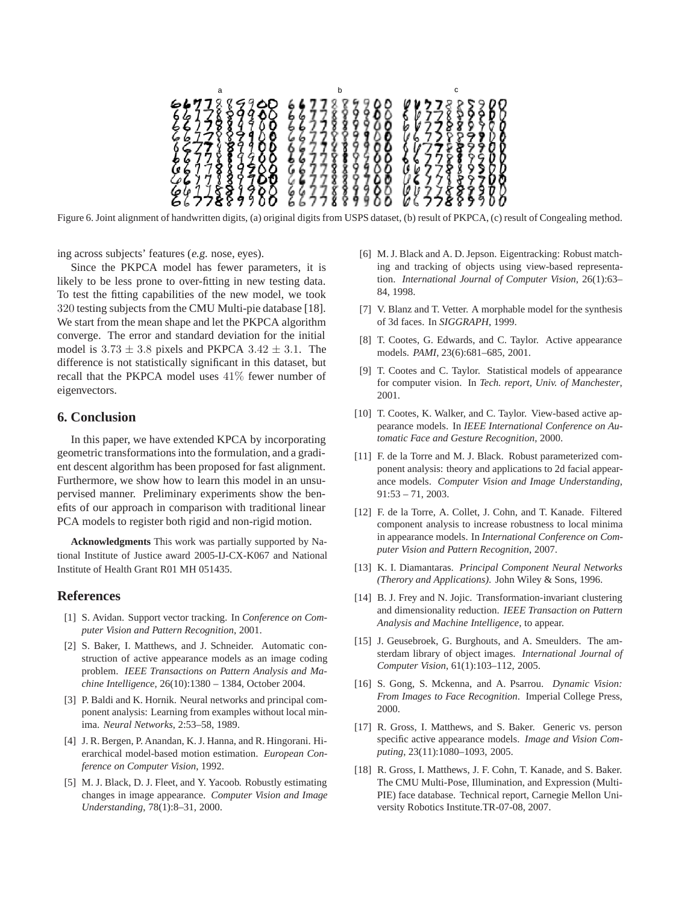$\mathsf a$  b c ႜႜႜႜႜႜၜၜၜၜၜ 00000 86

Figure 6. Joint alignment of handwritten digits, (a) original digits from USPS dataset, (b) result of PKPCA, (c) result of Congealing method.

ing across subjects' features (e.g. nose, eyes).

Since the PKPCA model has fewer parameters, it is likely to be less prone to over-fitting in new testing data. To test the fitting capabilities of the new model, we took 320 testing subjects from the CMU Multi-pie database [18]. We start from the mean shape and let the PKPCA algorithm converge. The error and standard deviation for the initial model is  $3.73 \pm 3.8$  pixels and PKPCA  $3.42 \pm 3.1$ . The difference is not statistically significant in this dataset, but recall that the PKPCA model uses 41% fewer number of eigenvectors.

# **6. Conclusion**

In this paper, we have extended KPCA by incorporating geometric transformations into the formulation, and a gradient descent algorithm has been proposed for fast alignment. Furthermore, we show how to learn this model in an unsupervised manner. Preliminary experiments show the benefits of our approach in comparison with traditional linear PCA models to register both rigid and non-rigid motion.

**Acknowledgments** This work was partially supported by National Institute of Justice award 2005-IJ-CX-K067 and National Institute of Health Grant R01 MH 051435.

# **References**

- [1] S. Avidan. Support vector tracking. In *Conference on Computer Vision and Pattern Recognition*, 2001.
- [2] S. Baker, I. Matthews, and J. Schneider. Automatic construction of active appearance models as an image coding problem. *IEEE Transactions on Pattern Analysis and Machine Intelligence*, 26(10):1380 – 1384, October 2004.
- [3] P. Baldi and K. Hornik. Neural networks and principal component analysis: Learning from examples without local minima. *Neural Networks*, 2:53–58, 1989.
- [4] J. R. Bergen, P. Anandan, K. J. Hanna, and R. Hingorani. Hierarchical model-based motion estimation. *European Conference on Computer Vision*, 1992.
- [5] M. J. Black, D. J. Fleet, and Y. Yacoob. Robustly estimating changes in image appearance. *Computer Vision and Image Understanding*, 78(1):8–31, 2000.
- [6] M. J. Black and A. D. Jepson. Eigentracking: Robust matching and tracking of objects using view-based representation. *International Journal of Computer Vision*, 26(1):63– 84, 1998.
- [7] V. Blanz and T. Vetter. A morphable model for the synthesis of 3d faces. In *SIGGRAPH*, 1999.
- [8] T. Cootes, G. Edwards, and C. Taylor. Active appearance models. *PAMI*, 23(6):681–685, 2001.
- [9] T. Cootes and C. Taylor. Statistical models of appearance for computer vision. In *Tech. report, Univ. of Manchester*, 2001.
- [10] T. Cootes, K. Walker, and C. Taylor. View-based active appearance models. In *IEEE International Conference on Automatic Face and Gesture Recognition*, 2000.
- [11] F. de la Torre and M. J. Black. Robust parameterized component analysis: theory and applications to 2d facial appearance models. *Computer Vision and Image Understanding*, 91:53 – 71, 2003.
- [12] F. de la Torre, A. Collet, J. Cohn, and T. Kanade. Filtered component analysis to increase robustness to local minima in appearance models. In *International Conference on Computer Vision and Pattern Recognition*, 2007.
- [13] K. I. Diamantaras. *Principal Component Neural Networks (Therory and Applications)*. John Wiley & Sons, 1996.
- [14] B. J. Frey and N. Jojic. Transformation-invariant clustering and dimensionality reduction. *IEEE Transaction on Pattern Analysis and Machine Intelligence*, to appear.
- [15] J. Geusebroek, G. Burghouts, and A. Smeulders. The amsterdam library of object images. *International Journal of Computer Vision*, 61(1):103–112, 2005.
- [16] S. Gong, S. Mckenna, and A. Psarrou. *Dynamic Vision: From Images to Face Recognition*. Imperial College Press, 2000.
- [17] R. Gross, I. Matthews, and S. Baker. Generic vs. person specific active appearance models. *Image and Vision Computing*, 23(11):1080–1093, 2005.
- [18] R. Gross, I. Matthews, J. F. Cohn, T. Kanade, and S. Baker. The CMU Multi-Pose, Illumination, and Expression (Multi-PIE) face database. Technical report, Carnegie Mellon University Robotics Institute.TR-07-08, 2007.